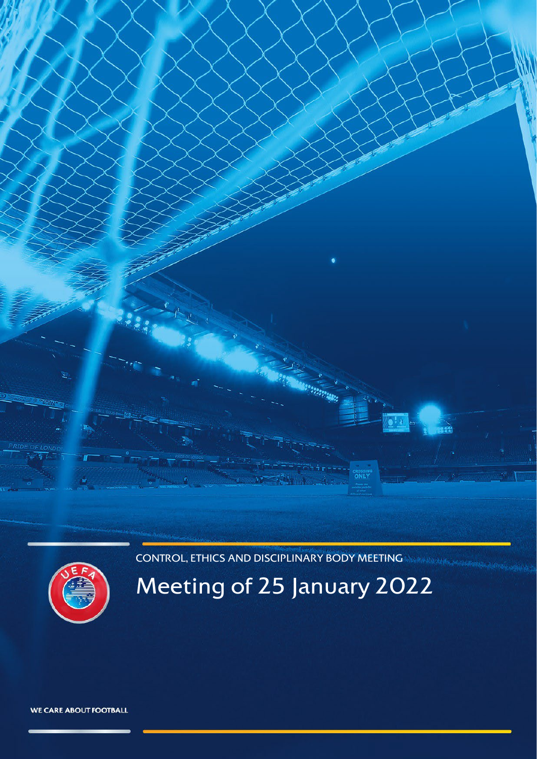CONTROL, ETHICS AND DISCIPLINARY BODY MEETING

<span id="page-0-0"></span>

# Meeting of 25 January 2022

WE CARE ABOUT FOOTBALL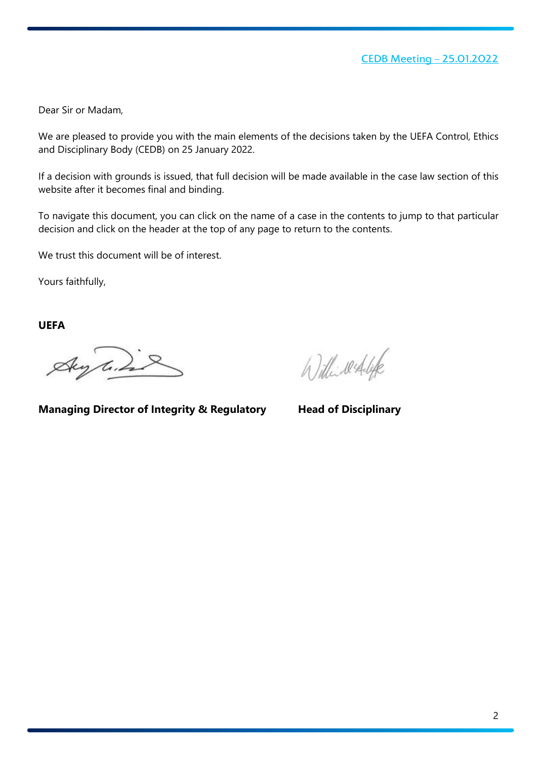Dear Sir or Madam,

We are pleased to provide you with the main elements of the decisions taken by the UEFA Control, Ethics and Disciplinary Body (CEDB) on 25 January 2022.

If a decision with grounds is issued, that full decision will be made available in the case law section of this website after it becomes final and binding.

To navigate this document, you can click on the name of a case in the contents to jump to that particular decision and click on the header at the top of any page to return to the contents.

We trust this document will be of interest.

Yours faithfully,

**UEFA**

Aug line

Willinesdale

**Managing Director of Integrity & Regulatory Head of Disciplinary**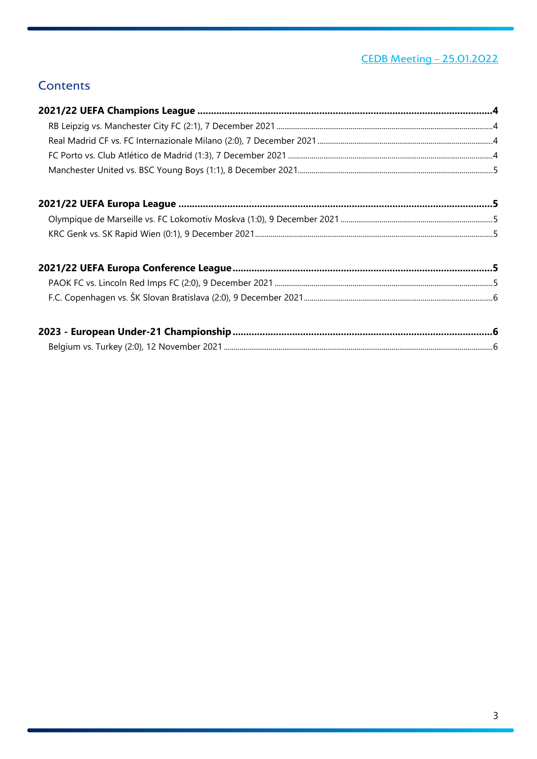# <u>CEDB Meeting - 25.01.2022</u>

# **Contents**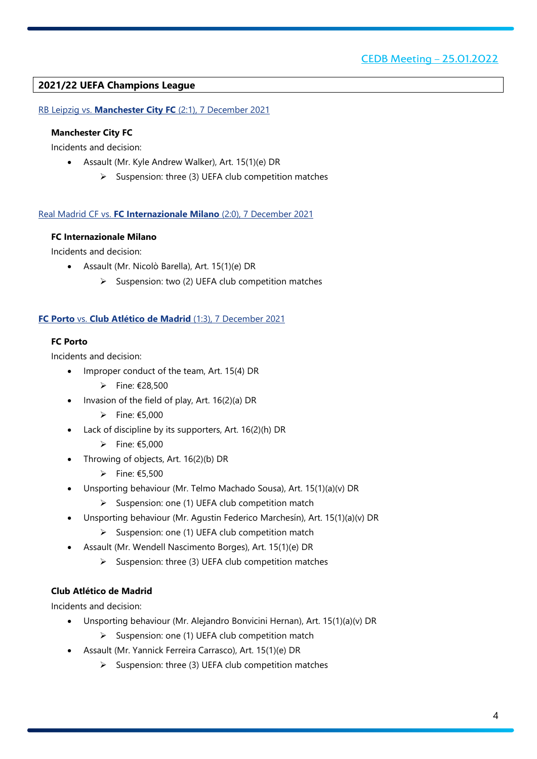# <span id="page-3-0"></span>**2021/22 UEFA Champions League**

<span id="page-3-1"></span>RB Leipzig vs. **Manchester City FC** (2:1), 7 December 2021

# **Manchester City FC**

Incidents and decision:

- Assault (Mr. Kyle Andrew Walker), Art. 15(1)(e) DR
	- $\triangleright$  Suspension: three (3) UEFA club competition matches

#### <span id="page-3-2"></span>Real Madrid CF vs. **FC Internazionale Milano** (2:0), 7 December 2021

## **FC Internazionale Milano**

Incidents and decision:

- Assault (Mr. Nicolò Barella), Art. 15(1)(e) DR
	- $\triangleright$  Suspension: two (2) UEFA club competition matches

## <span id="page-3-3"></span>**FC Porto** vs. **Club Atlético de Madrid** (1:3), 7 December 2021

## **FC Porto**

Incidents and decision:

- Improper conduct of the team, Art. 15(4) DR
	- Fine: €28,500
- Invasion of the field of play, Art. 16(2)(a) DR
	- $▶$  Fine: €5,000
- Lack of discipline by its supporters, Art. 16(2)(h) DR
	- $▶$  Fine: €5,000
- Throwing of objects, Art. 16(2)(b) DR
	- $▶$  Fine: €5,500
- Unsporting behaviour (Mr. Telmo Machado Sousa), Art. 15(1)(a)(v) DR
	- $\triangleright$  Suspension: one (1) UEFA club competition match
- Unsporting behaviour (Mr. Agustin Federico Marchesín), Art. 15(1)(a)(v) DR
	- $\triangleright$  Suspension: one (1) UEFA club competition match
- Assault (Mr. Wendell Nascimento Borges), Art. 15(1)(e) DR
	- $\triangleright$  Suspension: three (3) UEFA club competition matches

# **Club Atlético de Madrid**

Incidents and decision:

- Unsporting behaviour (Mr. Alejandro Bonvicini Hernan), Art. 15(1)(a)(v) DR
	- $\triangleright$  Suspension: one (1) UEFA club competition match
- Assault (Mr. Yannick Ferreira Carrasco), Art. 15(1)(e) DR
	- $\triangleright$  Suspension: three (3) UEFA club competition matches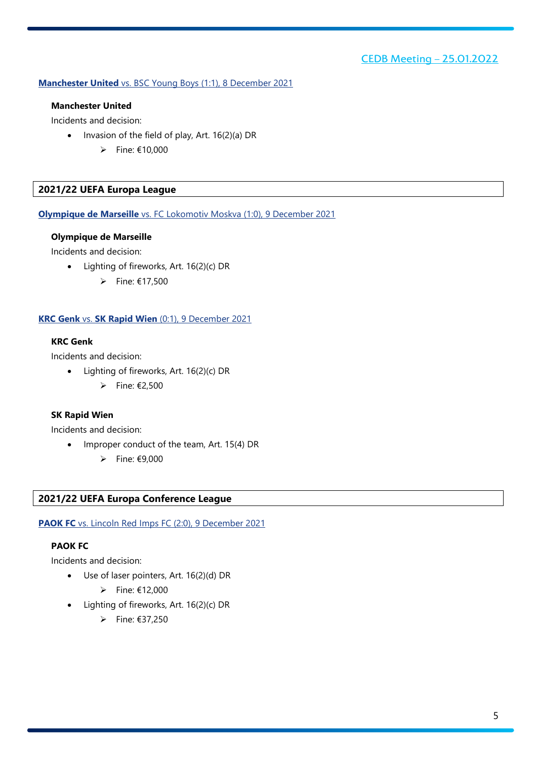## <span id="page-4-0"></span>**Manchester United** vs. BSC Young Boys (1:1), 8 December 2021

#### **Manchester United**

Incidents and decision:

- Invasion of the field of play, Art. 16(2)(a) DR
	- $\rightharpoonup$  Fine: €10,000

# <span id="page-4-1"></span>**2021/22 UEFA Europa League**

<span id="page-4-2"></span>**Olympique de Marseille** vs. FC Lokomotiv Moskva (1:0), 9 December 2021

#### **Olympique de Marseille**

Incidents and decision:

- Lighting of fireworks, Art. 16(2)(c) DR
	- $\rightharpoonup$  Fine: €17,500

## <span id="page-4-3"></span>**KRC Genk** vs. **SK Rapid Wien** (0:1), 9 December 2021

# **KRC Genk**

Incidents and decision:

- Lighting of fireworks, Art. 16(2)(c) DR
	- $\triangleright$  Fine: €2,500

#### **SK Rapid Wien**

Incidents and decision:

- Improper conduct of the team, Art. 15(4) DR
	- $\rightharpoonup$  Fine: €9,000

#### <span id="page-4-4"></span>**2021/22 UEFA Europa Conference League**

<span id="page-4-5"></span>**PAOK FC** vs. Lincoln Red Imps FC (2:0), 9 December 2021

## **PAOK FC**

Incidents and decision:

- Use of laser pointers, Art. 16(2)(d) DR
	- $\rightharpoonup$  Fine: €12,000
- Lighting of fireworks, Art. 16(2)(c) DR
	- $\triangleright$  Fine: €37,250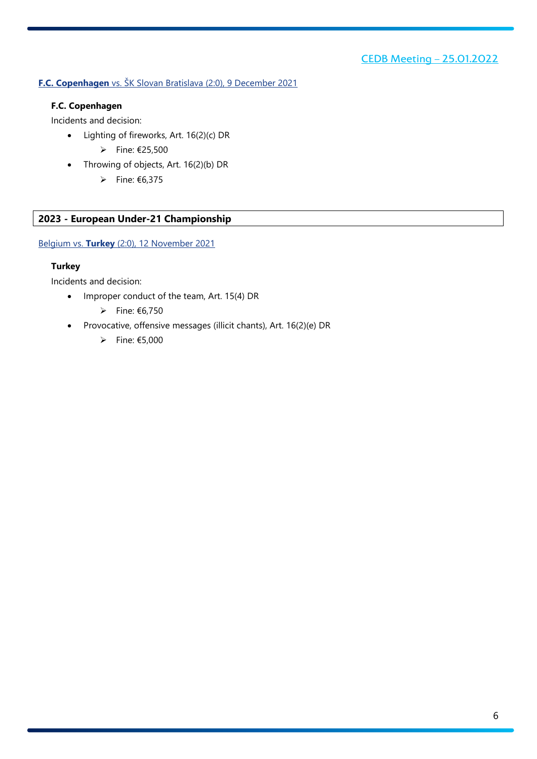# <span id="page-5-0"></span>**F.C. Copenhagen** vs. ŠK Slovan Bratislava (2:0), 9 December 2021

# **F.C. Copenhagen**

Incidents and decision:

- Lighting of fireworks, Art. 16(2)(c) DR
	- $▶$  Fine: €25,500
- Throwing of objects, Art. 16(2)(b) DR
	- $\triangleright$  Fine: €6,375

# <span id="page-5-1"></span>**2023 - European Under-21 Championship**

<span id="page-5-2"></span>Belgium vs. **Turkey** (2:0), 12 November 2021

# **Turkey**

Incidents and decision:

- Improper conduct of the team, Art. 15(4) DR
	- $\triangleright$  Fine: €6,750
- Provocative, offensive messages (illicit chants), Art. 16(2)(e) DR
	- $▶$  Fine: €5,000